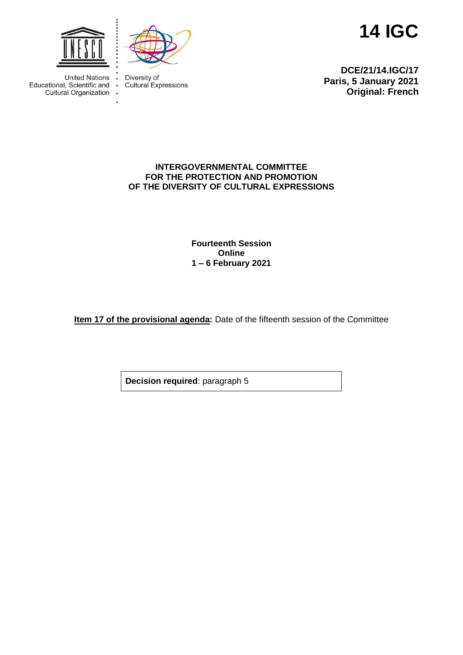

 $\ddot{\phantom{a}}$ 

 $\ddot{\phantom{a}}$ 



**14 IGC**

United Nations : Educational, Scientific and Cultural Organization

Diversity of **Cultural Expressions** 

**DCE/21/14.IGC/17 Paris, 5 January 2021 Original: French**

## **INTERGOVERNMENTAL COMMITTEE FOR THE PROTECTION AND PROMOTION OF THE DIVERSITY OF CULTURAL EXPRESSIONS**

**Fourteenth Session Online 1 – 6 February 2021**

**Item 17 of the provisional agenda:** Date of the fifteenth session of the Committee

**Decision required**: paragraph 5